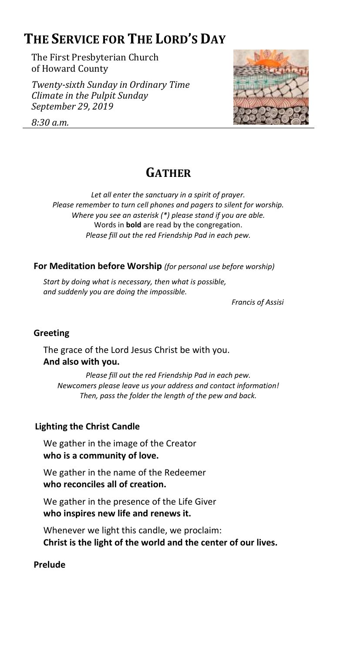# **THE SERVICE FOR THE LORD'S DAY**

The First Presbyterian Church of Howard County

*Twenty-sixth Sunday in Ordinary Time Climate in the Pulpit Sunday September 29, 2019*



*8:30 a.m.*

# **GATHER**

*Let all enter the sanctuary in a spirit of prayer. Please remember to turn cell phones and pagers to silent for worship. Where you see an asterisk (\*) please stand if you are able.* Words in **bold** are read by the congregation. *Please fill out the red Friendship Pad in each pew.*

**For Meditation before Worship** *(for personal use before worship)*

*Start by doing what is necessary, then what is possible, and suddenly you are doing the impossible.*

*Francis of Assisi*

## **Greeting**

The grace of the Lord Jesus Christ be with you. **And also with you.**

*Please fill out the red Friendship Pad in each pew. Newcomers please leave us your address and contact information! Then, pass the folder the length of the pew and back.*

# **Lighting the Christ Candle**

We gather in the image of the Creator **who is a community of love.**

We gather in the name of the Redeemer **who reconciles all of creation.**

We gather in the presence of the Life Giver **who inspires new life and renews it.**

Whenever we light this candle, we proclaim: **Christ is the light of the world and the center of our lives.**

## **Prelude**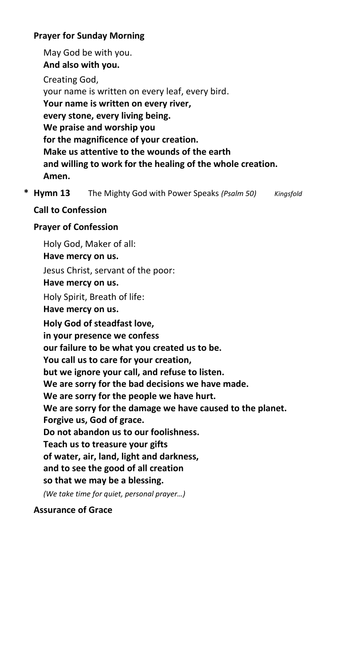## **Prayer for Sunday Morning**

May God be with you. **And also with you.** Creating God, your name is written on every leaf, every bird. **Your name is written on every river, every stone, every living being. We praise and worship you for the magnificence of your creation. Make us attentive to the wounds of the earth and willing to work for the healing of the whole creation. Amen.**

**\* Hymn 13** The Mighty God with Power Speaks *(Psalm 50) Kingsfold*

## **Call to Confession**

## **Prayer of Confession**

Holy God, Maker of all: **Have mercy on us.** Jesus Christ, servant of the poor: **Have mercy on us.** Holy Spirit, Breath of life: **Have mercy on us. Holy God of steadfast love, in your presence we confess our failure to be what you created us to be. You call us to care for your creation, but we ignore your call, and refuse to listen. We are sorry for the bad decisions we have made. We are sorry for the people we have hurt. We are sorry for the damage we have caused to the planet. Forgive us, God of grace. Do not abandon us to our foolishness. Teach us to treasure your gifts of water, air, land, light and darkness, and to see the good of all creation so that we may be a blessing.** *(We take time for quiet, personal prayer…)*

## **Assurance of Grace**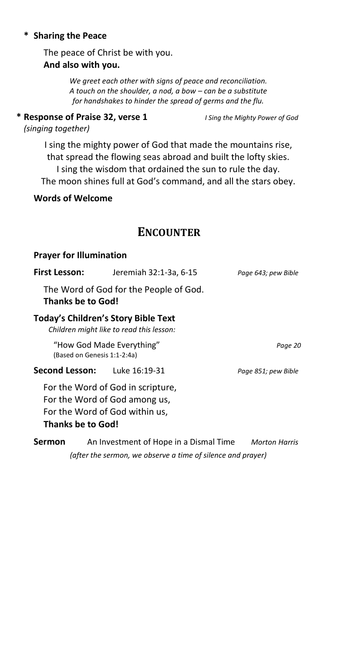### **\* Sharing the Peace**

The peace of Christ be with you. **And also with you.**

> *We greet each other with signs of peace and reconciliation. A touch on the shoulder, a nod, a bow – can be a substitute for handshakes to hinder the spread of germs and the flu.*

**\* Response of Praise 32, verse 1** *I Sing the Mighty Power of God*

*(singing together)*

I sing the mighty power of God that made the mountains rise, that spread the flowing seas abroad and built the lofty skies. I sing the wisdom that ordained the sun to rule the day. The moon shines full at God's command, and all the stars obey.

**Words of Welcome**

# **ENCOUNTER**

### **Prayer for Illumination**

| <b>First Lesson:</b>                                                                   | Jeremiah 32:1-3a, 6-15                                                                               | Page 643; pew Bible  |
|----------------------------------------------------------------------------------------|------------------------------------------------------------------------------------------------------|----------------------|
| The Word of God for the People of God.<br><b>Thanks be to God!</b>                     |                                                                                                      |                      |
| <b>Today's Children's Story Bible Text</b><br>Children might like to read this lesson: |                                                                                                      |                      |
| "How God Made Everything"<br>(Based on Genesis 1:1-2:4a)                               |                                                                                                      | Page 20              |
| Second Lesson:                                                                         | Luke 16:19-31                                                                                        | Page 851; pew Bible  |
| Thanks be to God!                                                                      | For the Word of God in scripture,<br>For the Word of God among us,<br>For the Word of God within us, |                      |
| Sermon                                                                                 | An Investment of Hope in a Dismal Time                                                               | <b>Morton Harris</b> |

*(after the sermon, we observe a time of silence and prayer)*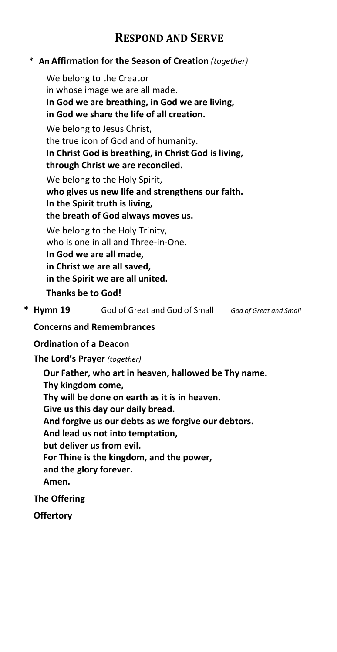# **RESPOND AND SERVE**

## **\* An Affirmation for the Season of Creation** *(together)*

We belong to the Creator in whose image we are all made. **In God we are breathing, in God we are living, in God we share the life of all creation.** We belong to Jesus Christ, the true icon of God and of humanity. **In Christ God is breathing, in Christ God is living, through Christ we are reconciled.** We belong to the Holy Spirit, **who gives us new life and strengthens our faith. In the Spirit truth is living, the breath of God always moves us.** We belong to the Holy Trinity, who is one in all and Three-in-One. **In God we are all made, in Christ we are all saved, in the Spirit we are all united.**

**Thanks be to God!**

**\* Hymn 19** God of Great and God of Small *God of Great and Small*

## **Concerns and Remembrances**

## **Ordination of a Deacon**

**The Lord's Prayer** *(together)*

**Our Father, who art in heaven, hallowed be Thy name. Thy kingdom come, Thy will be done on earth as it is in heaven. Give us this day our daily bread. And forgive us our debts as we forgive our debtors. And lead us not into temptation, but deliver us from evil. For Thine is the kingdom, and the power, and the glory forever. Amen.**

## **The Offering**

**Offertory**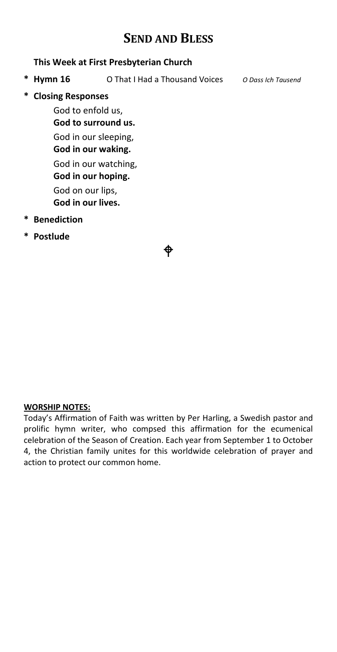# **SEND AND BLESS**

### **This Week at First Presbyterian Church**

**\* Hymn 16** O That I Had a Thousand Voices *O Dass Ich Tausend*

**\* Closing Responses**

God to enfold us, **God to surround us.** God in our sleeping, **God in our waking.** God in our watching, **God in our hoping.**

God on our lips,

**God in our lives.**

- **\* Benediction**
- **\* Postlude**

### **WORSHIP NOTES:**

Today's Affirmation of Faith was written by Per Harling, a Swedish pastor and prolific hymn writer, who compsed this affirmation for the ecumenical celebration of the Season of Creation. Each year from September 1 to October 4, the Christian family unites for this worldwide celebration of prayer and action to protect our common home.

⊕